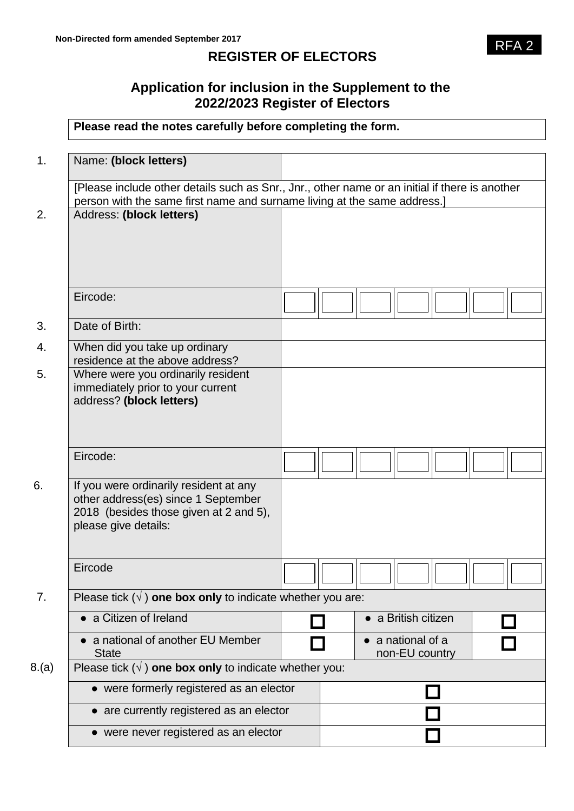# **REGISTER OF ELECTORS**

## **Application for inclusion in the Supplement to the 2022/2023 Register of Electors**

## **Please read the notes carefully before completing the form.**

| 1.    | Name: (block letters)                                                                                                                           |  |  |  |                                   |  |  |
|-------|-------------------------------------------------------------------------------------------------------------------------------------------------|--|--|--|-----------------------------------|--|--|
|       | [Please include other details such as Snr., Jnr., other name or an initial if there is another                                                  |  |  |  |                                   |  |  |
|       | person with the same first name and surname living at the same address.]                                                                        |  |  |  |                                   |  |  |
| 2.    | Address: (block letters)                                                                                                                        |  |  |  |                                   |  |  |
|       | Eircode:                                                                                                                                        |  |  |  |                                   |  |  |
| 3.    | Date of Birth:                                                                                                                                  |  |  |  |                                   |  |  |
| 4.    | When did you take up ordinary<br>residence at the above address?                                                                                |  |  |  |                                   |  |  |
| 5.    | Where were you ordinarily resident<br>immediately prior to your current<br>address? (block letters)                                             |  |  |  |                                   |  |  |
|       | Eircode:                                                                                                                                        |  |  |  |                                   |  |  |
| 6.    | If you were ordinarily resident at any<br>other address(es) since 1 September<br>2018 (besides those given at 2 and 5),<br>please give details: |  |  |  |                                   |  |  |
|       | Eircode                                                                                                                                         |  |  |  |                                   |  |  |
| 7.    | Please tick $(\sqrt{})$ one box only to indicate whether you are:                                                                               |  |  |  |                                   |  |  |
|       | • a Citizen of Ireland                                                                                                                          |  |  |  | $\bullet$ a British citizen       |  |  |
|       | a national of another EU Member<br><b>State</b>                                                                                                 |  |  |  | a national of a<br>non-EU country |  |  |
| 8.(a) | Please tick $(\sqrt{})$ one box only to indicate whether you:                                                                                   |  |  |  |                                   |  |  |
|       | • were formerly registered as an elector                                                                                                        |  |  |  |                                   |  |  |
|       | • are currently registered as an elector                                                                                                        |  |  |  |                                   |  |  |
|       | • were never registered as an elector                                                                                                           |  |  |  |                                   |  |  |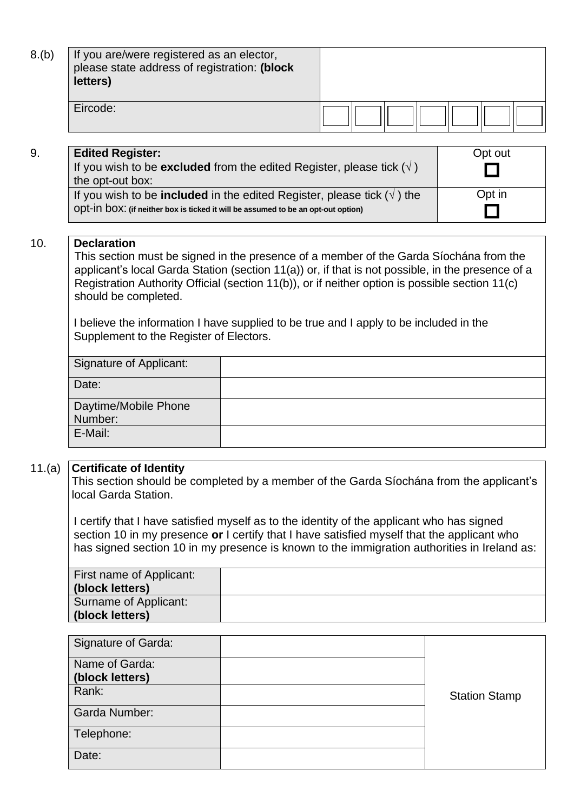| 8.(b) | If you are/were registered as an elector,<br>please state address of registration: (block<br>letters) |  |  |  |  |
|-------|-------------------------------------------------------------------------------------------------------|--|--|--|--|
|       | Eircode:                                                                                              |  |  |  |  |

#### 9. **Edited Register:**

| <b>Edited Register:</b>                                                               | Opt out |
|---------------------------------------------------------------------------------------|---------|
| If you wish to be <b>excluded</b> from the edited Register, please tick $(\sqrt{})$   |         |
| the opt-out box:                                                                      |         |
| If you wish to be <b>included</b> in the edited Register, please tick $(\sqrt{})$ the | Opt in  |
| ODt-in DOX: (if neither box is ticked it will be assumed to be an opt-out option)     |         |

#### 10. **Declaration**

This section must be signed in the presence of a member of the Garda Síochána from the applicant's local Garda Station (section 11(a)) or, if that is not possible, in the presence of a Registration Authority Official (section 11(b)), or if neither option is possible section 11(c) should be completed.

I believe the information I have supplied to be true and I apply to be included in the Supplement to the Register of Electors.

| Signature of Applicant: |  |
|-------------------------|--|
| Date:                   |  |
| Daytime/Mobile Phone    |  |
| Number:                 |  |
| E-Mail:                 |  |

## 11.(a) **Certificate of Identity**

This section should be completed by a member of the Garda Síochána from the applicant's local Garda Station.

I certify that I have satisfied myself as to the identity of the applicant who has signed section 10 in my presence **or** I certify that I have satisfied myself that the applicant who has signed section 10 in my presence is known to the immigration authorities in Ireland as:

| First name of Applicant:<br>(block letters) |  |
|---------------------------------------------|--|
| Surname of Applicant:<br>(block letters)    |  |

| Signature of Garda:  |                      |
|----------------------|----------------------|
| Name of Garda:       |                      |
| (block letters)      |                      |
| Rank:                | <b>Station Stamp</b> |
| <b>Garda Number:</b> |                      |
| Telephone:           |                      |
| Date:                |                      |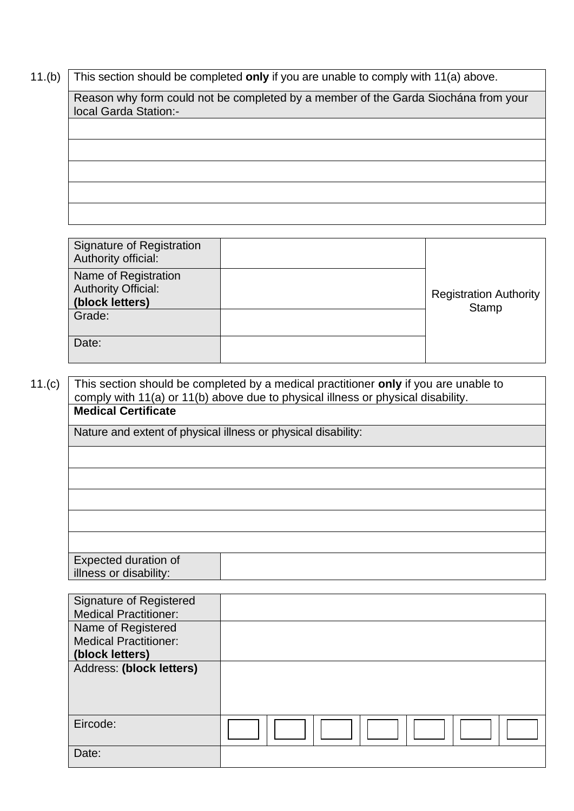11.(b) This section should be completed **only** if you are unable to comply with 11(a) above.

Reason why form could not be completed by a member of the Garda Siochána from your local Garda Station:-

Signature of Registration Authority official: Registration Authority **Stamp** Name of Registration Authority Official: **(block letters)** Grade: Date:

 11.(c) This section should be completed by a medical practitioner **only** if you are unable to comply with 11(a) or 11(b) above due to physical illness or physical disability. **Medical Certificate** Nature and extent of physical illness or physical disability: Expected duration of illness or disability:

| <b>Signature of Registered</b><br><b>Medical Practitioner:</b> |  |
|----------------------------------------------------------------|--|
| Name of Registered                                             |  |
| <b>Medical Practitioner:</b>                                   |  |
| (block letters)                                                |  |
| Address: (block letters)                                       |  |
|                                                                |  |
|                                                                |  |
|                                                                |  |
| Eircode:                                                       |  |
|                                                                |  |
| Date:                                                          |  |
|                                                                |  |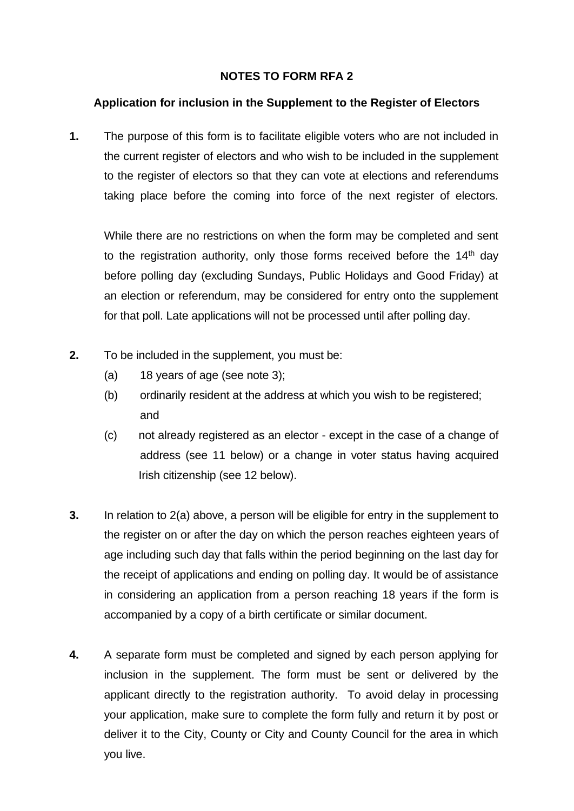## **NOTES TO FORM RFA 2**

## **Application for inclusion in the Supplement to the Register of Electors**

**1.** The purpose of this form is to facilitate eligible voters who are not included in the current register of electors and who wish to be included in the supplement to the register of electors so that they can vote at elections and referendums taking place before the coming into force of the next register of electors.

While there are no restrictions on when the form may be completed and sent to the registration authority, only those forms received before the  $14<sup>th</sup>$  day before polling day (excluding Sundays, Public Holidays and Good Friday) at an election or referendum, may be considered for entry onto the supplement for that poll. Late applications will not be processed until after polling day.

- **2.** To be included in the supplement, you must be:
	- (a) 18 years of age (see note 3);
	- (b) ordinarily resident at the address at which you wish to be registered; and
	- (c) not already registered as an elector except in the case of a change of address (see 11 below) or a change in voter status having acquired Irish citizenship (see 12 below).
- **3.** In relation to 2(a) above, a person will be eligible for entry in the supplement to the register on or after the day on which the person reaches eighteen years of age including such day that falls within the period beginning on the last day for the receipt of applications and ending on polling day. It would be of assistance in considering an application from a person reaching 18 years if the form is accompanied by a copy of a birth certificate or similar document.
- **4.** A separate form must be completed and signed by each person applying for inclusion in the supplement. The form must be sent or delivered by the applicant directly to the registration authority. To avoid delay in processing your application, make sure to complete the form fully and return it by post or deliver it to the City, County or City and County Council for the area in which you live.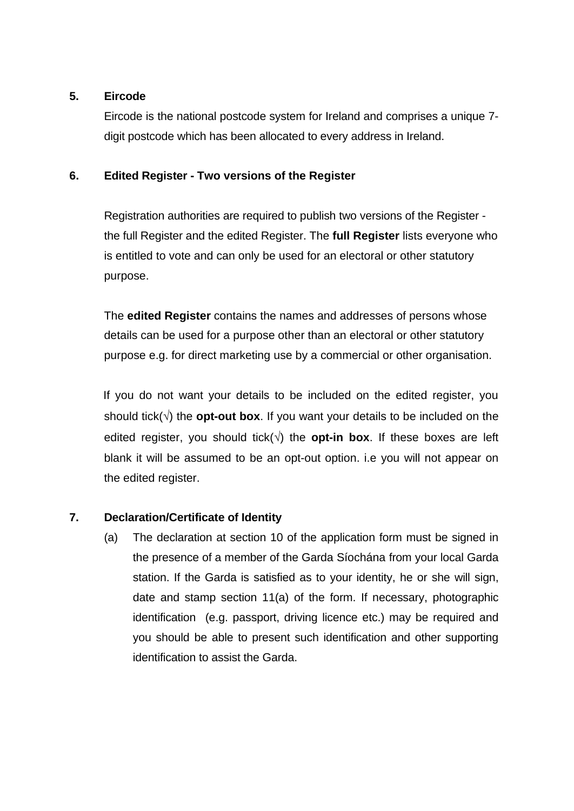## **5. Eircode**

Eircode is the national postcode system for Ireland and comprises a unique 7 digit postcode which has been allocated to every address in Ireland.

## **6. Edited Register - Two versions of the Register**

Registration authorities are required to publish two versions of the Register the full Register and the edited Register. The **full Register** lists everyone who is entitled to vote and can only be used for an electoral or other statutory purpose.

The **edited Register** contains the names and addresses of persons whose details can be used for a purpose other than an electoral or other statutory purpose e.g. for direct marketing use by a commercial or other organisation.

If you do not want your details to be included on the edited register, you should tick( $\sqrt{ }$ ) the **opt-out box**. If you want your details to be included on the edited register, you should tick( $\sqrt{ }$ ) the **opt-in box**. If these boxes are left blank it will be assumed to be an opt-out option. i.e you will not appear on the edited register.

## **7. Declaration/Certificate of Identity**

(a) The declaration at section 10 of the application form must be signed in the presence of a member of the Garda Síochána from your local Garda station. If the Garda is satisfied as to your identity, he or she will sign, date and stamp section 11(a) of the form. If necessary, photographic identification (e.g. passport, driving licence etc.) may be required and you should be able to present such identification and other supporting identification to assist the Garda.